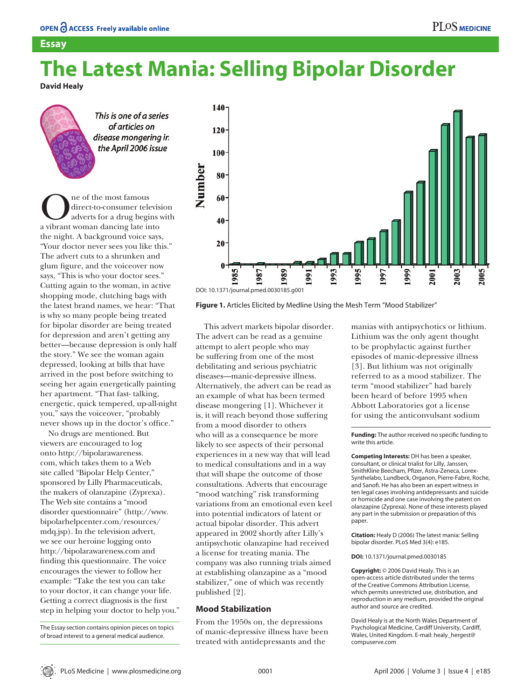### **Essay**

# **The Latest Mania: Selling Bipolar Disorder**

**David Healy**

This is one of a series of articles on disease mongering in the April 2006 issue

One of the most famous<br>direct-to-consumer televisis<br>a vibrant woman dancing late into direct-to-consumer television adverts for a drug begins with the night. A background voice says, "Your doctor never sees you like this." The advert cuts to a shrunken and glum figure, and the voiceover now says, "This is who your doctor sees." Cutting again to the woman, in active shopping mode, clutching bags with the latest brand names, we hear: "That is why so many people being treated for bipolar disorder are being treated for depression and aren't getting any better—because depression is only half the story." We see the woman again depressed, looking at bills that have arrived in the post before switching to seeing her again energetically painting her apartment. "That fast- talking, energetic, quick tempered, up-all-night you," says the voiceover, "probably never shows up in the doctor's office."

No drugs are mentioned. But viewers are encouraged to log onto http:⁄⁄bipolarawareness. com, which takes them to a Web site called "Bipolar Help Center," sponsored by Lilly Pharmaceuticals, the makers of olanzapine (Zyprexa). The Web site contains a "mood disorder questionnaire" (http:⁄⁄www. bipolarhelpcenter.com/resources/ mdq.jsp). In the television advert, we see our heroine logging onto http:⁄⁄bipolarawareness.com and finding this questionnaire. The voice encourages the viewer to follow her example: "Take the test you can take to your doctor, it can change your life. Getting a correct diagnosis is the first step in helping your doctor to help you."

The Essay section contains opinion pieces on topics of broad interest to a general medical audience.



**Figure 1.** Articles Elicited by Medline Using the Mesh Term "Mood Stabilizer"

This advert markets bipolar disorder. The advert can be read as a genuine attempt to alert people who may be suffering from one of the most debilitating and serious psychiatric diseases—manic-depressive illness. Alternatively, the advert can be read as an example of what has been termed disease mongering [1]. Whichever it is, it will reach beyond those suffering from a mood disorder to others who will as a consequence be more likely to see aspects of their personal experiences in a new way that will lead to medical consultations and in a way that will shape the outcome of those consultations. Adverts that encourage "mood watching" risk transforming variations from an emotional even keel into potential indicators of latent or actual bipolar disorder. This advert appeared in 2002 shortly after Lilly's antipsychotic olanzapine had received a license for treating mania. The company was also running trials aimed at establishing olanzapine as a "mood stabilizer," one of which was recently published [2].

#### **Mood Stabilization**

From the 1950s on, the depressions of manic-depressive illness have been treated with antidepressants and the

manias with antipsychotics or lithium. Lithium was the only agent thought to be prophylactic against further episodes of manic-depressive illness [3]. But lithium was not originally referred to as a mood stabilizer. The term "mood stabilizer" had barely been heard of before 1995 when Abbott Laboratories got a license for using the anticonvulsant sodium

Funding: The author received no specific funding to write this article.

**Competing Interests:** DH has been a speaker, consultant, or clinical trialist for Lilly, Janssen, SmithKline Beecham, Pfizer, Astra-Zeneca, Lorex-Synthelabo, Lundbeck, Organon, Pierre-Fabre, Roche, and Sanofi. He has also been an expert witness in ten legal cases involving antidepressants and suicide or homicide and one case involving the patent on olanzapine (Zyprexa). None of these interests played any part in the submission or preparation of this paper.

**Citation:** Healy D (2006) The latest mania: Selling bipolar disorder. PLoS Med 3(4): e185.

**DOI:** 10.1371/journal.pmed.0030185

**Copyright:** © 2006 David Healy. This is an open-access article distributed under the terms of the Creative Commons Attribution License, which permits unrestricted use, distribution, and reproduction in any medium, provided the original author and source are credited.

David Healy is at the North Wales Department of Psychological Medicine, Cardiff University, Cardiff, Wales, United Kingdom. E-mail: healy\_hergest@ compuserve.com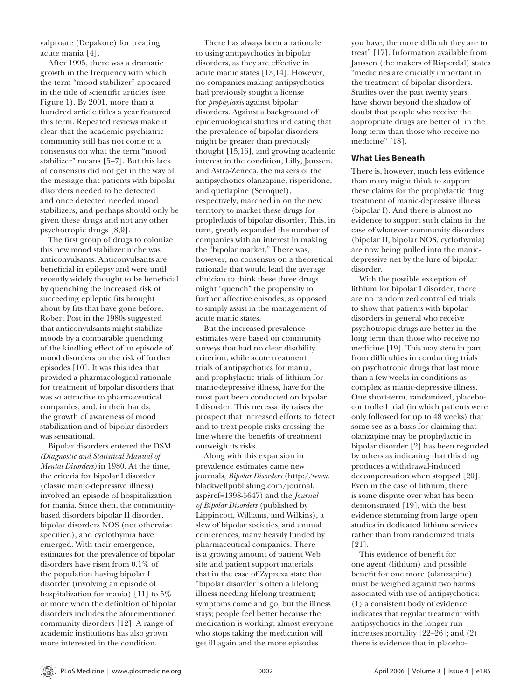valproate (Depakote) for treating acute mania [4].

After 1995, there was a dramatic growth in the frequency with which the term "mood stabilizer" appeared in the title of scientific articles (see Figure 1). By 2001, more than a hundred article titles a year featured this term. Repeated reviews make it clear that the academic psychiatric community still has not come to a consensus on what the term "mood stabilizer" means [5–7]. But this lack of consensus did not get in the way of the message that patients with bipolar disorders needed to be detected and once detected needed mood stabilizers, and perhaps should only be given these drugs and not any other psychotropic drugs [8,9].

The first group of drugs to colonize this new mood stabilizer niche was anticonvulsants. Anticonvulsants are beneficial in epilepsy and were until recently widely thought to be beneficial by quenching the increased risk of succeeding epileptic fits brought about by fits that have gone before. Robert Post in the 1980s suggested that anticonvulsants might stabilize moods by a comparable quenching of the kindling effect of an episode of mood disorders on the risk of further episodes [10]. It was this idea that provided a pharmacological rationale for treatment of bipolar disorders that was so attractive to pharmaceutical companies, and, in their hands, the growth of awareness of mood stabilization and of bipolar disorders was sensational.

Bipolar disorders entered the DSM *(Diagnostic and Statistical Manual of Mental Disorders)* in 1980. At the time, the criteria for bipolar I disorder (classic manic-depressive illness) involved an episode of hospitalization for mania. Since then, the communitybased disorders bipolar II disorder, bipolar disorders NOS (not otherwise specified), and cyclothymia have emerged. With their emergence, estimates for the prevalence of bipolar disorders have risen from 0.1% of the population having bipolar I disorder (involving an episode of hospitalization for mania) [11] to 5% or more when the definition of bipolar disorders includes the aforementioned community disorders [12]. A range of academic institutions has also grown more interested in the condition.

There has always been a rationale to using antipsychotics in bipolar disorders, as they are effective in acute manic states [13,14]. However, no companies making antipsychotics had previously sought a license for *prophylaxis* against bipolar disorders. Against a background of epidemiological studies indicating that the prevalence of bipolar disorders might be greater than previously thought [15,16], and growing academic interest in the condition, Lilly, Janssen, and Astra-Zeneca, the makers of the antipsychotics olanzapine, risperidone, and quetiapine (Seroquel), respectively, marched in on the new territory to market these drugs for prophylaxis of bipolar disorder. This, in turn, greatly expanded the number of companies with an interest in making the "bipolar market." There was, however, no consensus on a theoretical rationale that would lead the average clinician to think these three drugs might "quench" the propensity to further affective episodes, as opposed to simply assist in the management of acute manic states.

But the increased prevalence estimates were based on community surveys that had no clear disability criterion, while acute treatment trials of antipsychotics for mania, and prophylactic trials of lithium for manic-depressive illness, have for the most part been conducted on bipolar I disorder. This necessarily raises the prospect that increased efforts to detect and to treat people risks crossing the line where the benefits of treatment outweigh its risks.

Along with this expansion in prevalence estimates came new journals, *Bipolar Disorders* (http:⁄⁄www. blackwellpublishing.com/journal. asp?ref=1398-5647) and the *Journal of Bipolar Disorders* (published by Lippincott, Williams, and Wilkins), a slew of bipolar societies, and annual conferences, many heavily funded by pharmaceutical companies. There is a growing amount of patient Web site and patient support materials that in the case of Zyprexa state that "bipolar disorder is often a lifelong illness needing lifelong treatment; symptoms come and go, but the illness stays; people feel better because the medication is working; almost everyone who stops taking the medication will get ill again and the more episodes

you have, the more difficult they are to treat" [17]. Information available from Janssen (the makers of Risperdal) states "medicines are crucially important in the treatment of bipolar disorders. Studies over the past twenty years have shown beyond the shadow of doubt that people who receive the appropriate drugs are better off in the long term than those who receive no medicine" [18].

#### **What Lies Beneath**

There is, however, much less evidence than many might think to support these claims for the prophylactic drug treatment of manic-depressive illness (bipolar I). And there is almost no evidence to support such claims in the case of whatever community disorders (bipolar II, bipolar NOS, cyclothymia) are now being pulled into the manicdepressive net by the lure of bipolar disorder.

With the possible exception of lithium for bipolar I disorder, there are no randomized controlled trials to show that patients with bipolar disorders in general who receive psychotropic drugs are better in the long term than those who receive no medicine [19]. This may stem in part from difficulties in conducting trials on psychotropic drugs that last more than a few weeks in conditions as complex as manic-depressive illness. One short-term, randomized, placebocontrolled trial (in which patients were only followed for up to 48 weeks) that some see as a basis for claiming that olanzapine may be prophylactic in bipolar disorder [2] has been regarded by others as indicating that this drug produces a withdrawal-induced decompensation when stopped [20]. Even in the case of lithium, there is some dispute over what has been demonstrated [19], with the best evidence stemming from large open studies in dedicated lithium services rather than from randomized trials [21].

This evidence of benefit for one agent (lithium) and possible benefit for one more (olanzapine) must be weighed against two harms associated with use of antipsychotics: (1) a consistent body of evidence indicates that regular treatment with antipsychotics in the longer run increases mortality [22–26]; and (2) there is evidence that in placebo-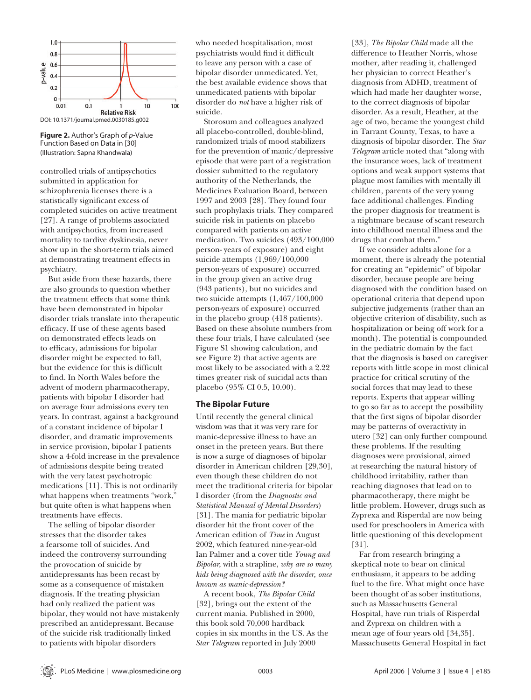



controlled trials of antipsychotics submitted in application for schizophrenia licenses there is a statistically significant excess of completed suicides on active treatment [27]. A range of problems associated with antipsychotics, from increased mortality to tardive dyskinesia, never show up in the short-term trials aimed at demonstrating treatment effects in psychiatry.

But aside from these hazards, there are also grounds to question whether the treatment effects that some think have been demonstrated in bipolar disorder trials translate into therapeutic efficacy. If use of these agents based on demonstrated effects leads on to efficacy, admissions for bipolar disorder might be expected to fall, but the evidence for this is difficult to find. In North Wales before the advent of modern pharmacotherapy, patients with bipolar I disorder had on average four admissions every ten years. In contrast, against a background of a constant incidence of bipolar I disorder, and dramatic improvements in service provision, bipolar I patients show a 4-fold increase in the prevalence of admissions despite being treated with the very latest psychotropic medications [11]. This is not ordinarily what happens when treatments "work," but quite often is what happens when treatments have effects.

The selling of bipolar disorder stresses that the disorder takes a fearsome toll of suicides. And indeed the controversy surrounding the provocation of suicide by antidepressants has been recast by some as a consequence of mistaken diagnosis. If the treating physician had only realized the patient was bipolar, they would not have mistakenly prescribed an antidepressant. Because of the suicide risk traditionally linked to patients with bipolar disorders

who needed hospitalisation, most psychiatrists would find it difficult to leave any person with a case of bipolar disorder unmedicated. Yet, the best available evidence shows that unmedicated patients with bipolar disorder do *not* have a higher risk of suicide.

Storosum and colleagues analyzed all placebo-controlled, double-blind, randomized trials of mood stabilizers for the prevention of manic/depressive episode that were part of a registration dossier submitted to the regulatory authority of the Netherlands, the Medicines Evaluation Board, between 1997 and 2003 [28]. They found four such prophylaxis trials. They compared suicide risk in patients on placebo compared with patients on active medication. Two suicides (493/100,000 person- years of exposure) and eight suicide attempts (1,969/100,000 person-years of exposure) occurred in the group given an active drug (943 patients), but no suicides and two suicide attempts (1,467/100,000 person-years of exposure) occurred in the placebo group (418 patients). Based on these absolute numbers from these four trials, I have calculated (see Figure S1 showing calculation, and see Figure 2) that active agents are most likely to be associated with a 2.22 times greater risk of suicidal acts than placebo (95% CI 0.5, 10.00).

#### **The Bipolar Future**

Until recently the general clinical wisdom was that it was very rare for manic-depressive illness to have an onset in the preteen years. But there is now a surge of diagnoses of bipolar disorder in American children [29,30], even though these children do not meet the traditional criteria for bipolar I disorder (from the *Diagnostic and Statistical Manual of Mental Disorders*) [31]. The mania for pediatric bipolar disorder hit the front cover of the American edition of *Time* in August 2002, which featured nine-year-old Ian Palmer and a cover title *Young and Bipolar*, with a strapline, *why are so many kids being diagnosed with the disorder, once known as manic-depression?*

A recent book, *The Bipolar Child* [32], brings out the extent of the current mania. Published in 2000, this book sold 70,000 hardback copies in six months in the US. As the *Star Telegram* reported in July 2000

[33], *The Bipolar Child* made all the difference to Heather Norris, whose mother, after reading it, challenged her physician to correct Heather's diagnosis from ADHD, treatment of which had made her daughter worse, to the correct diagnosis of bipolar disorder. As a result, Heather, at the age of two, became the youngest child in Tarrant County, Texas, to have a diagnosis of bipolar disorder. The *Star Telegram* article noted that "along with the insurance woes, lack of treatment options and weak support systems that plague most families with mentally ill children, parents of the very young face additional challenges. Finding the proper diagnosis for treatment is a nightmare because of scant research into childhood mental illness and the drugs that combat them."

If we consider adults alone for a moment, there is already the potential for creating an "epidemic" of bipolar disorder, because people are being diagnosed with the condition based on operational criteria that depend upon subjective judgements (rather than an objective criterion of disability, such as hospitalization or being off work for a month). The potential is compounded in the pediatric domain by the fact that the diagnosis is based on caregiver reports with little scope in most clinical practice for critical scrutiny of the social forces that may lead to these reports. Experts that appear willing to go so far as to accept the possibility that the first signs of bipolar disorder may be patterns of overactivity in utero [32] can only further compound these problems. If the resulting diagnoses were provisional, aimed at researching the natural history of childhood irritability, rather than reaching diagnoses that lead on to pharmacotherapy, there might be little problem. However, drugs such as Zyprexa and Risperdal are now being used for preschoolers in America with little questioning of this development [31].

Far from research bringing a skeptical note to bear on clinical enthusiasm, it appears to be adding fuel to the fire. What might once have been thought of as sober institutions, such as Massachusetts General Hospital, have run trials of Risperdal and Zyprexa on children with a mean age of four years old [34,35]. Massachusetts General Hospital in fact